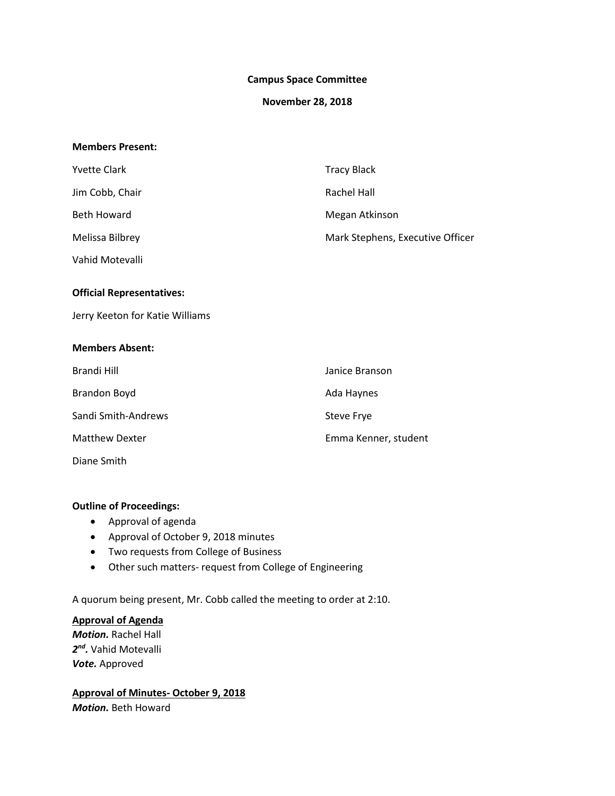### **Campus Space Committee**

### **November 28, 2018**

#### **Members Present:**

| <b>Yvette Clark</b>              | <b>Tracy Black</b>               |
|----------------------------------|----------------------------------|
| Jim Cobb, Chair                  | <b>Rachel Hall</b>               |
| <b>Beth Howard</b>               | Megan Atkinson                   |
| Melissa Bilbrey                  | Mark Stephens, Executive Officer |
| Vahid Motevalli                  |                                  |
| <b>Official Representatives:</b> |                                  |
| Jerry Keeton for Katie Williams  |                                  |
| <b>Members Absent:</b>           |                                  |
| <b>Brandi Hill</b>               | Janice Branson                   |
| <b>Brandon Boyd</b>              | Ada Haynes                       |
| Sandi Smith-Andrews              | Steve Frye                       |
| <b>Matthew Dexter</b>            | Emma Kenner, student             |
| Diane Smith                      |                                  |

# **Outline of Proceedings:**

- Approval of agenda
- Approval of October 9, 2018 minutes
- Two requests from College of Business
- Other such matters- request from College of Engineering

A quorum being present, Mr. Cobb called the meeting to order at 2:10.

## **Approval of Agenda**

*Motion.* Rachel Hall *2nd.* Vahid Motevalli *Vote.* Approved

**Approval of Minutes- October 9, 2018** *Motion.* Beth Howard